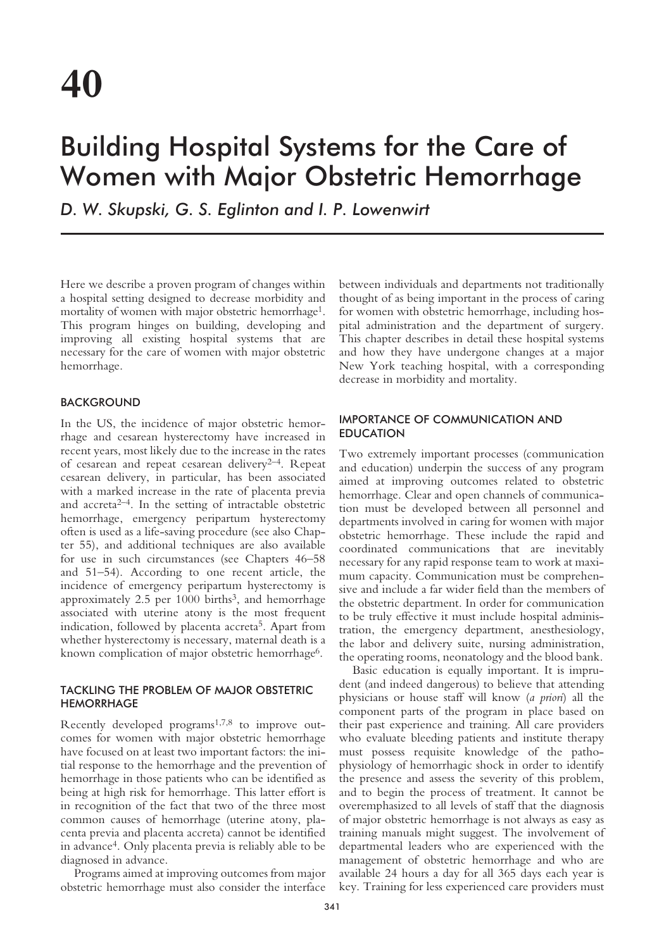# Building Hospital Systems for the Care of Women with Major Obstetric Hemorrhage

*D. W. Skupski, G. S. Eglinton and I. P. Lowenwirt*

Here we describe a proven program of changes within a hospital setting designed to decrease morbidity and mortality of women with major obstetric hemorrhage<sup>1</sup>. This program hinges on building, developing and improving all existing hospital systems that are necessary for the care of women with major obstetric hemorrhage.

# **BACKGROUND**

In the US, the incidence of major obstetric hemorrhage and cesarean hysterectomy have increased in recent years, most likely due to the increase in the rates of cesarean and repeat cesarean delivery<sup>2-4</sup>. Repeat cesarean delivery, in particular, has been associated with a marked increase in the rate of placenta previa and  $\arctan 2^{-4}$ . In the setting of intractable obstetric hemorrhage, emergency peripartum hysterectomy often is used as a life-saving procedure (see also Chapter 55), and additional techniques are also available for use in such circumstances (see Chapters 46–58 and 51–54). According to one recent article, the incidence of emergency peripartum hysterectomy is approximately  $2.5$  per  $1000$  births<sup>3</sup>, and hemorrhage associated with uterine atony is the most frequent indication, followed by placenta accreta<sup>5</sup>. Apart from whether hysterectomy is necessary, maternal death is a known complication of major obstetric hemorrhage<sup>6</sup>.

## TACKLING THE PROBLEM OF MAJOR OBSTETRIC **HEMORRHAGE**

Recently developed programs1,7,8 to improve outcomes for women with major obstetric hemorrhage have focused on at least two important factors: the initial response to the hemorrhage and the prevention of hemorrhage in those patients who can be identified as being at high risk for hemorrhage. This latter effort is in recognition of the fact that two of the three most common causes of hemorrhage (uterine atony, placenta previa and placenta accreta) cannot be identified in advance4. Only placenta previa is reliably able to be diagnosed in advance.

Programs aimed at improving outcomes from major obstetric hemorrhage must also consider the interface

between individuals and departments not traditionally thought of as being important in the process of caring for women with obstetric hemorrhage, including hospital administration and the department of surgery. This chapter describes in detail these hospital systems and how they have undergone changes at a major New York teaching hospital, with a corresponding decrease in morbidity and mortality.

## IMPORTANCE OF COMMUNICATION AND EDUCATION

Two extremely important processes (communication and education) underpin the success of any program aimed at improving outcomes related to obstetric hemorrhage. Clear and open channels of communication must be developed between all personnel and departments involved in caring for women with major obstetric hemorrhage. These include the rapid and coordinated communications that are inevitably necessary for any rapid response team to work at maximum capacity. Communication must be comprehensive and include a far wider field than the members of the obstetric department. In order for communication to be truly effective it must include hospital administration, the emergency department, anesthesiology, the labor and delivery suite, nursing administration, the operating rooms, neonatology and the blood bank.

Basic education is equally important. It is imprudent (and indeed dangerous) to believe that attending physicians or house staff will know (*a priori*) all the component parts of the program in place based on their past experience and training. All care providers who evaluate bleeding patients and institute therapy must possess requisite knowledge of the pathophysiology of hemorrhagic shock in order to identify the presence and assess the severity of this problem, and to begin the process of treatment. It cannot be overemphasized to all levels of staff that the diagnosis of major obstetric hemorrhage is not always as easy as training manuals might suggest. The involvement of departmental leaders who are experienced with the management of obstetric hemorrhage and who are available 24 hours a day for all 365 days each year is key. Training for less experienced care providers must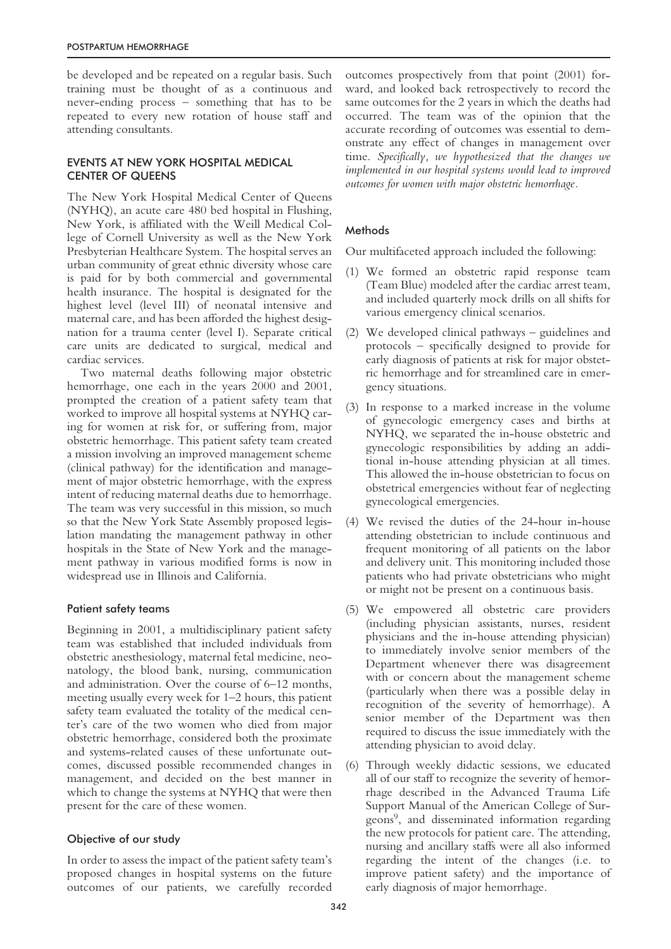be developed and be repeated on a regular basis. Such training must be thought of as a continuous and never-ending process – something that has to be repeated to every new rotation of house staff and attending consultants.

# EVENTS AT NEW YORK HOSPITAL MEDICAL CENTER OF QUEENS

The New York Hospital Medical Center of Queens (NYHQ), an acute care 480 bed hospital in Flushing, New York, is affiliated with the Weill Medical College of Cornell University as well as the New York Presbyterian Healthcare System. The hospital serves an urban community of great ethnic diversity whose care is paid for by both commercial and governmental health insurance. The hospital is designated for the highest level (level III) of neonatal intensive and maternal care, and has been afforded the highest designation for a trauma center (level I). Separate critical care units are dedicated to surgical, medical and cardiac services.

Two maternal deaths following major obstetric hemorrhage, one each in the years 2000 and 2001, prompted the creation of a patient safety team that worked to improve all hospital systems at NYHQ caring for women at risk for, or suffering from, major obstetric hemorrhage. This patient safety team created a mission involving an improved management scheme (clinical pathway) for the identification and management of major obstetric hemorrhage, with the express intent of reducing maternal deaths due to hemorrhage. The team was very successful in this mission, so much so that the New York State Assembly proposed legislation mandating the management pathway in other hospitals in the State of New York and the management pathway in various modified forms is now in widespread use in Illinois and California.

## Patient safety teams

Beginning in 2001, a multidisciplinary patient safety team was established that included individuals from obstetric anesthesiology, maternal fetal medicine, neonatology, the blood bank, nursing, communication and administration. Over the course of 6–12 months, meeting usually every week for 1–2 hours, this patient safety team evaluated the totality of the medical center's care of the two women who died from major obstetric hemorrhage, considered both the proximate and systems-related causes of these unfortunate outcomes, discussed possible recommended changes in management, and decided on the best manner in which to change the systems at NYHQ that were then present for the care of these women.

# Objective of our study

In order to assess the impact of the patient safety team's proposed changes in hospital systems on the future outcomes of our patients, we carefully recorded outcomes prospectively from that point (2001) forward, and looked back retrospectively to record the same outcomes for the 2 years in which the deaths had occurred. The team was of the opinion that the accurate recording of outcomes was essential to demonstrate any effect of changes in management over time. *Specifically, we hypothesized that the changes we implemented in our hospital systems would lead to improved outcomes for women with major obstetric hemorrhage.*

# **Methods**

Our multifaceted approach included the following:

- (1) We formed an obstetric rapid response team (Team Blue) modeled after the cardiac arrest team, and included quarterly mock drills on all shifts for various emergency clinical scenarios.
- (2) We developed clinical pathways guidelines and protocols – specifically designed to provide for early diagnosis of patients at risk for major obstetric hemorrhage and for streamlined care in emergency situations.
- (3) In response to a marked increase in the volume of gynecologic emergency cases and births at NYHQ, we separated the in-house obstetric and gynecologic responsibilities by adding an additional in-house attending physician at all times. This allowed the in-house obstetrician to focus on obstetrical emergencies without fear of neglecting gynecological emergencies.
- (4) We revised the duties of the 24-hour in-house attending obstetrician to include continuous and frequent monitoring of all patients on the labor and delivery unit. This monitoring included those patients who had private obstetricians who might or might not be present on a continuous basis.
- (5) We empowered all obstetric care providers (including physician assistants, nurses, resident physicians and the in-house attending physician) to immediately involve senior members of the Department whenever there was disagreement with or concern about the management scheme (particularly when there was a possible delay in recognition of the severity of hemorrhage). A senior member of the Department was then required to discuss the issue immediately with the attending physician to avoid delay.
- (6) Through weekly didactic sessions, we educated all of our staff to recognize the severity of hemorrhage described in the Advanced Trauma Life Support Manual of the American College of Surgeons9, and disseminated information regarding the new protocols for patient care. The attending, nursing and ancillary staffs were all also informed regarding the intent of the changes (i.e. to improve patient safety) and the importance of early diagnosis of major hemorrhage.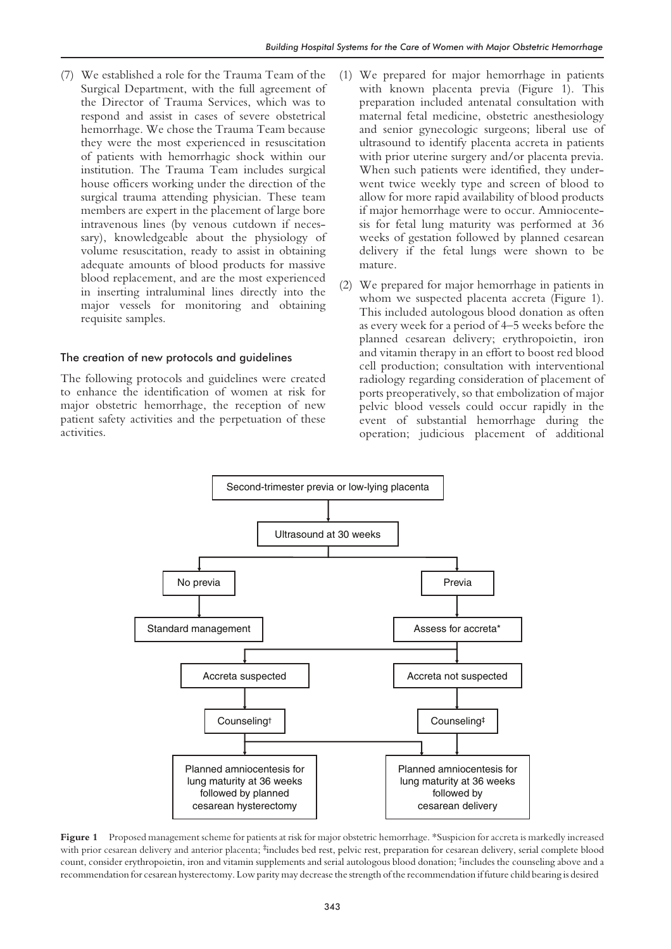(7) We established a role for the Trauma Team of the Surgical Department, with the full agreement of the Director of Trauma Services, which was to respond and assist in cases of severe obstetrical hemorrhage. We chose the Trauma Team because they were the most experienced in resuscitation of patients with hemorrhagic shock within our institution. The Trauma Team includes surgical house officers working under the direction of the surgical trauma attending physician. These team members are expert in the placement of large bore intravenous lines (by venous cutdown if necessary), knowledgeable about the physiology of volume resuscitation, ready to assist in obtaining adequate amounts of blood products for massive blood replacement, and are the most experienced in inserting intraluminal lines directly into the major vessels for monitoring and obtaining requisite samples.

#### The creation of new protocols and guidelines

The following protocols and guidelines were created to enhance the identification of women at risk for major obstetric hemorrhage, the reception of new patient safety activities and the perpetuation of these activities.

- (1) We prepared for major hemorrhage in patients with known placenta previa (Figure 1). This preparation included antenatal consultation with maternal fetal medicine, obstetric anesthesiology and senior gynecologic surgeons; liberal use of ultrasound to identify placenta accreta in patients with prior uterine surgery and/or placenta previa. When such patients were identified, they underwent twice weekly type and screen of blood to allow for more rapid availability of blood products if major hemorrhage were to occur. Amniocentesis for fetal lung maturity was performed at 36 weeks of gestation followed by planned cesarean delivery if the fetal lungs were shown to be mature.
- (2) We prepared for major hemorrhage in patients in whom we suspected placenta accreta (Figure 1). This included autologous blood donation as often as every week for a period of 4–5 weeks before the planned cesarean delivery; erythropoietin, iron and vitamin therapy in an effort to boost red blood cell production; consultation with interventional radiology regarding consideration of placement of ports preoperatively, so that embolization of major pelvic blood vessels could occur rapidly in the event of substantial hemorrhage during the operation; judicious placement of additional



**Figure 1** Proposed management scheme for patients at risk for major obstetric hemorrhage. \*Suspicion for accreta is markedly increased with prior cesarean delivery and anterior placenta; #includes bed rest, pelvic rest, preparation for cesarean delivery, serial complete blood count, consider erythropoietin, iron and vitamin supplements and serial autologous blood donation; †includes the counseling above and a recommendation for cesarean hysterectomy. Low parity may decrease the strength of the recommendation if future child bearing is desired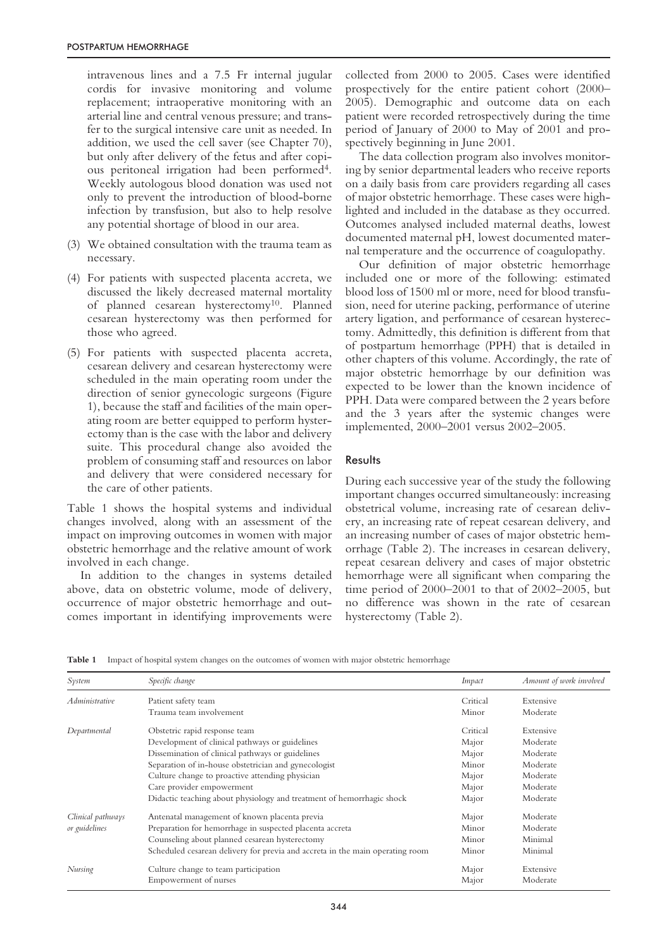intravenous lines and a 7.5 Fr internal jugular cordis for invasive monitoring and volume replacement; intraoperative monitoring with an arterial line and central venous pressure; and transfer to the surgical intensive care unit as needed. In addition, we used the cell saver (see Chapter 70), but only after delivery of the fetus and after copious peritoneal irrigation had been performed4. Weekly autologous blood donation was used not only to prevent the introduction of blood-borne infection by transfusion, but also to help resolve any potential shortage of blood in our area.

- (3) We obtained consultation with the trauma team as necessary.
- (4) For patients with suspected placenta accreta, we discussed the likely decreased maternal mortality of planned cesarean hysterectomy10. Planned cesarean hysterectomy was then performed for those who agreed.
- (5) For patients with suspected placenta accreta, cesarean delivery and cesarean hysterectomy were scheduled in the main operating room under the direction of senior gynecologic surgeons (Figure 1), because the staff and facilities of the main operating room are better equipped to perform hysterectomy than is the case with the labor and delivery suite. This procedural change also avoided the problem of consuming staff and resources on labor and delivery that were considered necessary for the care of other patients.

Table 1 shows the hospital systems and individual changes involved, along with an assessment of the impact on improving outcomes in women with major obstetric hemorrhage and the relative amount of work involved in each change.

In addition to the changes in systems detailed above, data on obstetric volume, mode of delivery, occurrence of major obstetric hemorrhage and outcomes important in identifying improvements were collected from 2000 to 2005. Cases were identified prospectively for the entire patient cohort (2000– 2005). Demographic and outcome data on each patient were recorded retrospectively during the time period of January of 2000 to May of 2001 and prospectively beginning in June 2001.

The data collection program also involves monitoring by senior departmental leaders who receive reports on a daily basis from care providers regarding all cases of major obstetric hemorrhage. These cases were highlighted and included in the database as they occurred. Outcomes analysed included maternal deaths, lowest documented maternal pH, lowest documented maternal temperature and the occurrence of coagulopathy.

Our definition of major obstetric hemorrhage included one or more of the following: estimated blood loss of 1500 ml or more, need for blood transfusion, need for uterine packing, performance of uterine artery ligation, and performance of cesarean hysterectomy. Admittedly, this definition is different from that of postpartum hemorrhage (PPH) that is detailed in other chapters of this volume. Accordingly, the rate of major obstetric hemorrhage by our definition was expected to be lower than the known incidence of PPH. Data were compared between the 2 years before and the 3 years after the systemic changes were implemented, 2000–2001 versus 2002–2005.

## **Results**

During each successive year of the study the following important changes occurred simultaneously: increasing obstetrical volume, increasing rate of cesarean delivery, an increasing rate of repeat cesarean delivery, and an increasing number of cases of major obstetric hemorrhage (Table 2). The increases in cesarean delivery, repeat cesarean delivery and cases of major obstetric hemorrhage were all significant when comparing the time period of 2000–2001 to that of 2002–2005, but no difference was shown in the rate of cesarean hysterectomy (Table 2).

**Table 1** Impact of hospital system changes on the outcomes of women with major obstetric hemorrhage

| System            | Specific change                                                               | Impact   | Amount of work involved |
|-------------------|-------------------------------------------------------------------------------|----------|-------------------------|
| Administrative    | Patient safety team                                                           | Critical | Extensive               |
|                   | Trauma team involvement                                                       | Minor    | Moderate                |
| Departmental      | Obstetric rapid response team                                                 | Critical | Extensive               |
|                   | Development of clinical pathways or guidelines                                | Major    | Moderate                |
|                   | Dissemination of clinical pathways or guidelines                              | Major    | Moderate                |
|                   | Separation of in-house obstetrician and gynecologist                          | Minor    | Moderate                |
|                   | Culture change to proactive attending physician                               | Major    | Moderate                |
|                   | Care provider empowerment                                                     | Major    | Moderate                |
|                   | Didactic teaching about physiology and treatment of hemorrhagic shock         | Major    | Moderate                |
| Clinical pathways | Antenatal management of known placenta previa                                 | Major    | Moderate                |
| or guidelines     | Preparation for hemorrhage in suspected placenta accreta                      | Minor    | Moderate                |
|                   | Counseling about planned cesarean hysterectomy                                | Minor    | Minimal                 |
|                   | Scheduled cesarean delivery for previa and accreta in the main operating room | Minor    | Minimal                 |
| Nursing           | Culture change to team participation                                          | Major    | Extensive               |
|                   | Empowerment of nurses                                                         | Major    | Moderate                |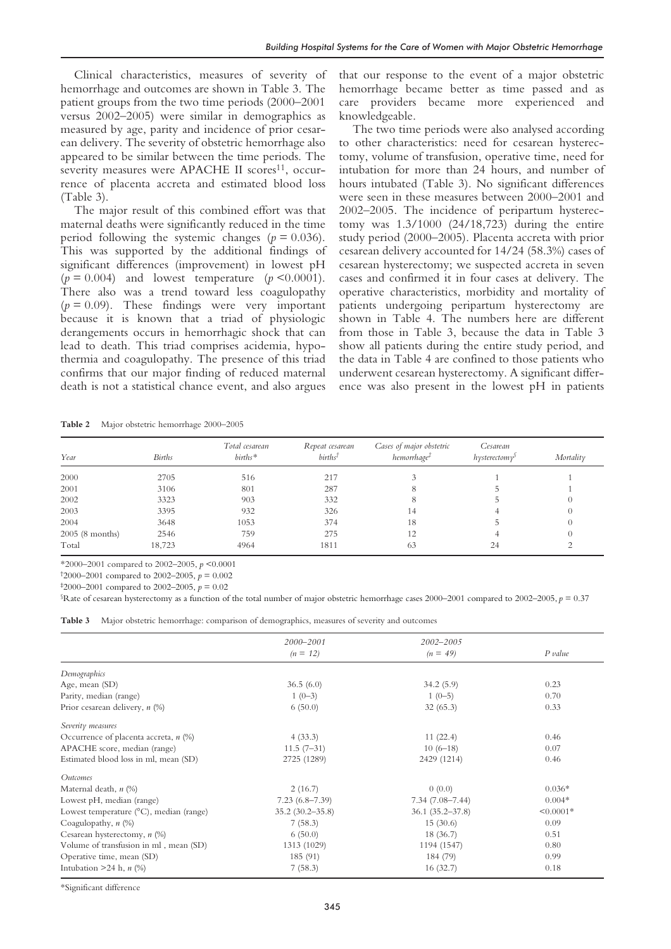Clinical characteristics, measures of severity of hemorrhage and outcomes are shown in Table 3. The patient groups from the two time periods (2000–2001 versus 2002–2005) were similar in demographics as measured by age, parity and incidence of prior cesarean delivery. The severity of obstetric hemorrhage also appeared to be similar between the time periods. The severity measures were APACHE II scores<sup>11</sup>, occurrence of placenta accreta and estimated blood loss (Table 3).

The major result of this combined effort was that maternal deaths were significantly reduced in the time period following the systemic changes ( $p = 0.036$ ). This was supported by the additional findings of significant differences (improvement) in lowest pH  $(p = 0.004)$  and lowest temperature  $(p < 0.0001)$ . There also was a trend toward less coagulopathy  $(p = 0.09)$ . These findings were very important because it is known that a triad of physiologic derangements occurs in hemorrhagic shock that can lead to death. This triad comprises acidemia, hypothermia and coagulopathy. The presence of this triad confirms that our major finding of reduced maternal death is not a statistical chance event, and also argues that our response to the event of a major obstetric hemorrhage became better as time passed and as care providers became more experienced and knowledgeable.

The two time periods were also analysed according to other characteristics: need for cesarean hysterectomy, volume of transfusion, operative time, need for intubation for more than 24 hours, and number of hours intubated (Table 3). No significant differences were seen in these measures between 2000–2001 and 2002–2005. The incidence of peripartum hysterectomy was 1.3/1000 (24/18,723) during the entire study period (2000–2005). Placenta accreta with prior cesarean delivery accounted for 14/24 (58.3%) cases of cesarean hysterectomy; we suspected accreta in seven cases and confirmed it in four cases at delivery. The operative characteristics, morbidity and mortality of patients undergoing peripartum hysterectomy are shown in Table 4. The numbers here are different from those in Table 3, because the data in Table 3 show all patients during the entire study period, and the data in Table 4 are confined to those patients who underwent cesarean hysterectomy. A significant difference was also present in the lowest pH in patients

**Table 2** Major obstetric hemorrhage 2000–2005

| Year           | <b>Births</b> | Total cesarean<br>$births*$ | Repeat cesarean<br>$births^{\dagger}$ | Cases of major obstetric<br>hemorrhage <sup>†</sup> | Cesarean<br>$h$ ysterectomy <sup>s</sup> | Mortality |
|----------------|---------------|-----------------------------|---------------------------------------|-----------------------------------------------------|------------------------------------------|-----------|
| 2000           | 2705          | 516                         | 217                                   |                                                     |                                          |           |
| 2001           | 3106          | 801                         | 287                                   |                                                     |                                          |           |
| 2002           | 3323          | 903                         | 332                                   |                                                     |                                          | 0         |
| 2003           | 3395          | 932                         | 326                                   | 14                                                  |                                          |           |
| 2004           | 3648          | 1053                        | 374                                   | 18                                                  |                                          | $^{()}$   |
| 2005(8 months) | 2546          | 759                         | 275                                   | 12                                                  |                                          | $^{()}$   |
| Total          | 18,723        | 4964                        | 1811                                  | 63                                                  | 24                                       |           |

\*2000–2001 compared to 2002–2005, *p* <0.0001

<sup>†</sup>2000–2001 compared to 2002–2005,  $p = 0.002$ 

 $\text{\#}2000\text{--}2001$  compared to 2002–2005,  $p = 0.02$ 

 $\Sigma$ Rate of cesarean hysterectomy as a function of the total number of major obstetric hemorrhage cases 2000–2001 compared to 2002–2005,  $p = 0.37$ 

**Table 3** Major obstetric hemorrhage: comparison of demographics, measures of severity and outcomes

|                                                   | 2000-2001            | 2002-2005            |                |
|---------------------------------------------------|----------------------|----------------------|----------------|
|                                                   | $(n = 12)$           | $(n = 49)$           | $P$ value      |
| Demographics                                      |                      |                      |                |
| Age, mean (SD)                                    | 36.5(6.0)            | 34.2(5.9)            | 0.23           |
| Parity, median (range)                            | $1(0-3)$             | $1(0-5)$             | 0.70           |
| Prior cesarean delivery, n (%)                    | 6(50.0)              | 32(65.3)             | 0.33           |
| Severity measures                                 |                      |                      |                |
| Occurrence of placenta accreta, $n$ (%)           | 4(33.3)              | 11(22.4)             | 0.46           |
| APACHE score, median (range)                      | $11.5(7-31)$         | $10(6-18)$           | 0.07           |
| Estimated blood loss in ml, mean (SD)             | 2725 (1289)          | 2429 (1214)          | 0.46           |
| Outcomes                                          |                      |                      |                |
| Maternal death, $n$ (%)                           | 2(16.7)              | 0(0.0)               | $0.036*$       |
| Lowest pH, median (range)                         | $7.23(6.8 - 7.39)$   | $7.34(7.08 - 7.44)$  | $0.004*$       |
| Lowest temperature $(^{\circ}C)$ , median (range) | $35.2 (30.2 - 35.8)$ | $36.1 (35.2 - 37.8)$ | $\leq 0.0001*$ |
| Coagulopathy, $n$ (%)                             | 7(58.3)              | 15(30.6)             | 0.09           |
| Cesarean hysterectomy, $n$ (%)                    | 6(50.0)              | 18(36.7)             | 0.51           |
| Volume of transfusion in ml, mean (SD)            | 1313 (1029)          | 1194 (1547)          | 0.80           |
| Operative time, mean (SD)                         | 185 (91)             | 184 (79)             | 0.99           |
| Intubation $>24$ h, n $(\%)$                      | 7(58.3)              | 16(32.7)             | 0.18           |

\*Significant difference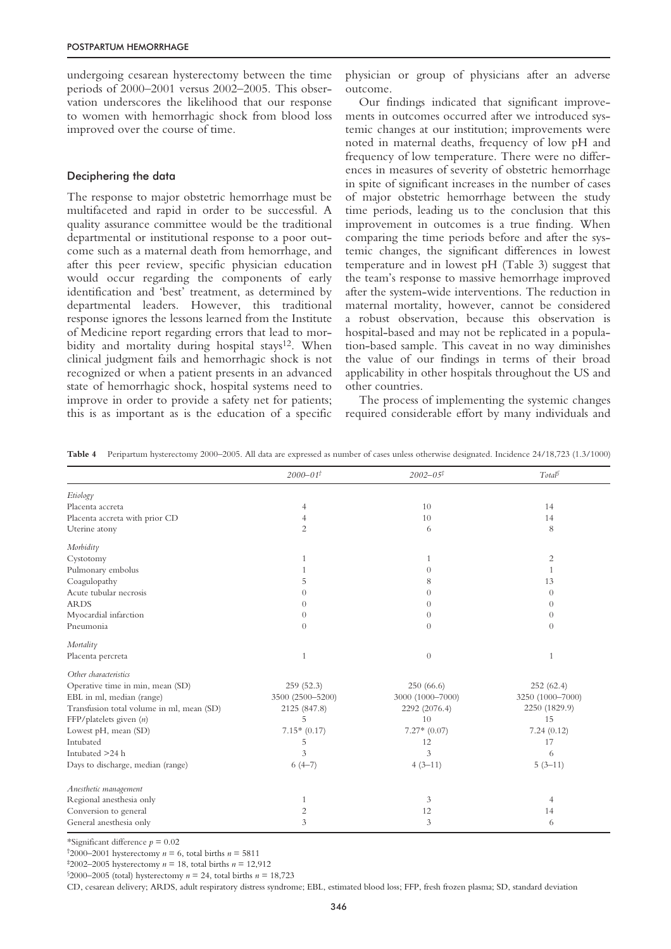undergoing cesarean hysterectomy between the time periods of 2000–2001 versus 2002–2005. This observation underscores the likelihood that our response to women with hemorrhagic shock from blood loss improved over the course of time.

### Deciphering the data

The response to major obstetric hemorrhage must be multifaceted and rapid in order to be successful. A quality assurance committee would be the traditional departmental or institutional response to a poor outcome such as a maternal death from hemorrhage, and after this peer review, specific physician education would occur regarding the components of early identification and 'best' treatment, as determined by departmental leaders. However, this traditional response ignores the lessons learned from the Institute of Medicine report regarding errors that lead to morbidity and mortality during hospital stays<sup>12</sup>. When clinical judgment fails and hemorrhagic shock is not recognized or when a patient presents in an advanced state of hemorrhagic shock, hospital systems need to improve in order to provide a safety net for patients; this is as important as is the education of a specific physician or group of physicians after an adverse outcome.

Our findings indicated that significant improvements in outcomes occurred after we introduced systemic changes at our institution; improvements were noted in maternal deaths, frequency of low pH and frequency of low temperature. There were no differences in measures of severity of obstetric hemorrhage in spite of significant increases in the number of cases of major obstetric hemorrhage between the study time periods, leading us to the conclusion that this improvement in outcomes is a true finding. When comparing the time periods before and after the systemic changes, the significant differences in lowest temperature and in lowest pH (Table 3) suggest that the team's response to massive hemorrhage improved after the system-wide interventions. The reduction in maternal mortality, however, cannot be considered a robust observation, because this observation is hospital-based and may not be replicated in a population-based sample. This caveat in no way diminishes the value of our findings in terms of their broad applicability in other hospitals throughout the US and other countries.

The process of implementing the systemic changes required considerable effort by many individuals and

**Table 4** Peripartum hysterectomy 2000–2005. All data are expressed as number of cases unless otherwise designated. Incidence 24/18,723 (1.3/1000)

|                                           | $2000 - 01^{\dagger}$ | $2002 - 05^{\ddagger}$ | $Total^{\S}$     |
|-------------------------------------------|-----------------------|------------------------|------------------|
| Etiology                                  |                       |                        |                  |
| Placenta accreta                          | 4                     | 10                     | 14               |
| Placenta accreta with prior CD            | $\overline{4}$        | 10                     | 14               |
| Uterine atony                             | 2                     | 6                      | 8                |
| Morbidity                                 |                       |                        |                  |
| Cystotomy                                 | $\mathbf{1}$          | -1                     | $\overline{c}$   |
| Pulmonary embolus                         |                       | $\theta$               | 1                |
| Coagulopathy                              | 5                     | 8                      | 13               |
| Acute tubular necrosis                    | $\Omega$              | $\Omega$               | $\theta$         |
| <b>ARDS</b>                               | $\Omega$              | $\Omega$               | $\Omega$         |
| Myocardial infarction                     | $\theta$              | $\Omega$               | $\theta$         |
| Pneumonia                                 | $\Omega$              | $\Omega$               | $\Omega$         |
| Mortality                                 |                       |                        |                  |
| Placenta percreta                         | $\mathbf{1}$          | $\overline{0}$         | 1                |
| Other characteristics                     |                       |                        |                  |
| Operative time in min, mean (SD)          | 259(52.3)             | 250(66.6)              | 252(62.4)        |
| EBL in ml, median (range)                 | 3500 (2500-5200)      | 3000 (1000-7000)       | 3250 (1000-7000) |
| Transfusion total volume in ml, mean (SD) | 2125 (847.8)          | 2292 (2076.4)          | 2250 (1829.9)    |
| FFP/platelets given $(n)$                 | 5                     | 10                     | 15               |
| Lowest pH, mean (SD)                      | $7.15*(0.17)$         | $7.27*(0.07)$          | 7.24(0.12)       |
| Intubated                                 | 5                     | 12                     | 17               |
| Intubated >24 h                           | 3                     | 3                      | 6                |
| Days to discharge, median (range)         | $6(4-7)$              | $4(3-11)$              | $5(3-11)$        |
| Anesthetic management                     |                       |                        |                  |
| Regional anesthesia only                  | $\mathbf{1}$          | 3                      | 4                |
| Conversion to general                     | $\overline{c}$        | 12                     | 14               |
| General anesthesia only                   | $\overline{3}$        | 3                      | 6                |

\*Significant difference *p* = 0.02

<sup>†</sup>2000–2001 hysterectomy  $n = 6$ , total births  $n = 5811$ 

‡ 2002–2005 hysterectomy *n* = 18, total births *n* = 12,912

 $$2000–2005$  (total) hysterectomy  $n = 24$ , total births  $n = 18,723$ 

CD, cesarean delivery; ARDS, adult respiratory distress syndrome; EBL, estimated blood loss; FFP, fresh frozen plasma; SD, standard deviation